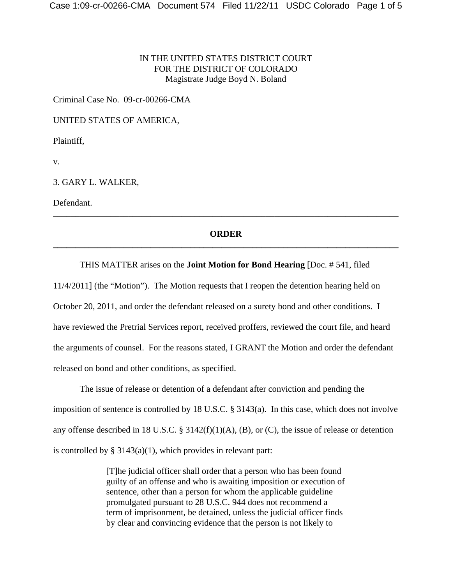## IN THE UNITED STATES DISTRICT COURT FOR THE DISTRICT OF COLORADO Magistrate Judge Boyd N. Boland

Criminal Case No. 09-cr-00266-CMA

UNITED STATES OF AMERICA,

Plaintiff,

v.

3. GARY L. WALKER,

Defendant.

## **ORDER \_\_\_\_\_\_\_\_\_\_\_\_\_\_\_\_\_\_\_\_\_\_\_\_\_\_\_\_\_\_\_\_\_\_\_\_\_\_\_\_\_\_\_\_\_\_\_\_\_\_\_\_\_\_\_\_\_\_\_\_\_\_\_\_\_\_\_\_\_\_\_\_\_\_\_\_\_\_**

\_\_\_\_\_\_\_\_\_\_\_\_\_\_\_\_\_\_\_\_\_\_\_\_\_\_\_\_\_\_\_\_\_\_\_\_\_\_\_\_\_\_\_\_\_\_\_\_\_\_\_\_\_\_\_\_\_\_\_\_\_\_\_\_\_\_\_\_\_\_\_\_\_\_\_\_\_\_

### THIS MATTER arises on the **Joint Motion for Bond Hearing** [Doc. # 541, filed

11/4/2011] (the "Motion"). The Motion requests that I reopen the detention hearing held on October 20, 2011, and order the defendant released on a surety bond and other conditions. I have reviewed the Pretrial Services report, received proffers, reviewed the court file, and heard the arguments of counsel. For the reasons stated, I GRANT the Motion and order the defendant released on bond and other conditions, as specified.

The issue of release or detention of a defendant after conviction and pending the imposition of sentence is controlled by 18 U.S.C. § 3143(a). In this case, which does not involve any offense described in 18 U.S.C. § 3142(f)(1)(A), (B), or (C), the issue of release or detention is controlled by  $\S 3143(a)(1)$ , which provides in relevant part:

> [T]he judicial officer shall order that a person who has been found guilty of an offense and who is awaiting imposition or execution of sentence, other than a person for whom the applicable guideline promulgated pursuant to 28 U.S.C. 944 does not recommend a term of imprisonment, be detained, unless the judicial officer finds by clear and convincing evidence that the person is not likely to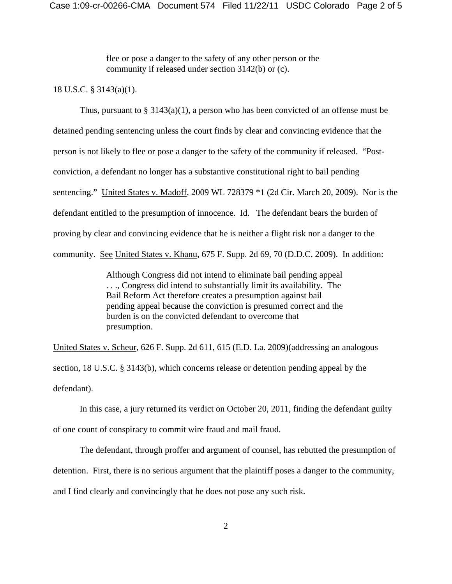flee or pose a danger to the safety of any other person or the community if released under section 3142(b) or (c).

#### 18 U.S.C. § 3143(a)(1).

Thus, pursuant to  $\S 3143(a)(1)$ , a person who has been convicted of an offense must be detained pending sentencing unless the court finds by clear and convincing evidence that the person is not likely to flee or pose a danger to the safety of the community if released. "Postconviction, a defendant no longer has a substantive constitutional right to bail pending sentencing." United States v. Madoff, 2009 WL 728379 \*1 (2d Cir. March 20, 2009). Nor is the defendant entitled to the presumption of innocence. Id. The defendant bears the burden of proving by clear and convincing evidence that he is neither a flight risk nor a danger to the community. See United States v. Khanu, 675 F. Supp. 2d 69, 70 (D.D.C. 2009). In addition:

> Although Congress did not intend to eliminate bail pending appeal . . ., Congress did intend to substantially limit its availability. The Bail Reform Act therefore creates a presumption against bail pending appeal because the conviction is presumed correct and the burden is on the convicted defendant to overcome that presumption.

United States v. Scheur, 626 F. Supp. 2d 611, 615 (E.D. La. 2009)(addressing an analogous section, 18 U.S.C. § 3143(b), which concerns release or detention pending appeal by the defendant).

In this case, a jury returned its verdict on October 20, 2011, finding the defendant guilty of one count of conspiracy to commit wire fraud and mail fraud.

The defendant, through proffer and argument of counsel, has rebutted the presumption of detention. First, there is no serious argument that the plaintiff poses a danger to the community, and I find clearly and convincingly that he does not pose any such risk.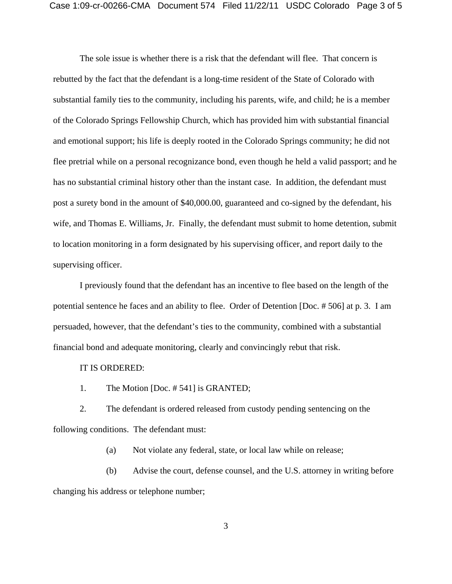The sole issue is whether there is a risk that the defendant will flee. That concern is rebutted by the fact that the defendant is a long-time resident of the State of Colorado with substantial family ties to the community, including his parents, wife, and child; he is a member of the Colorado Springs Fellowship Church, which has provided him with substantial financial and emotional support; his life is deeply rooted in the Colorado Springs community; he did not flee pretrial while on a personal recognizance bond, even though he held a valid passport; and he has no substantial criminal history other than the instant case. In addition, the defendant must post a surety bond in the amount of \$40,000.00, guaranteed and co-signed by the defendant, his wife, and Thomas E. Williams, Jr. Finally, the defendant must submit to home detention, submit to location monitoring in a form designated by his supervising officer, and report daily to the supervising officer.

I previously found that the defendant has an incentive to flee based on the length of the potential sentence he faces and an ability to flee. Order of Detention [Doc. # 506] at p. 3. I am persuaded, however, that the defendant's ties to the community, combined with a substantial financial bond and adequate monitoring, clearly and convincingly rebut that risk.

IT IS ORDERED:

1. The Motion [Doc. # 541] is GRANTED;

2. The defendant is ordered released from custody pending sentencing on the following conditions. The defendant must:

(a) Not violate any federal, state, or local law while on release;

(b) Advise the court, defense counsel, and the U.S. attorney in writing before changing his address or telephone number;

3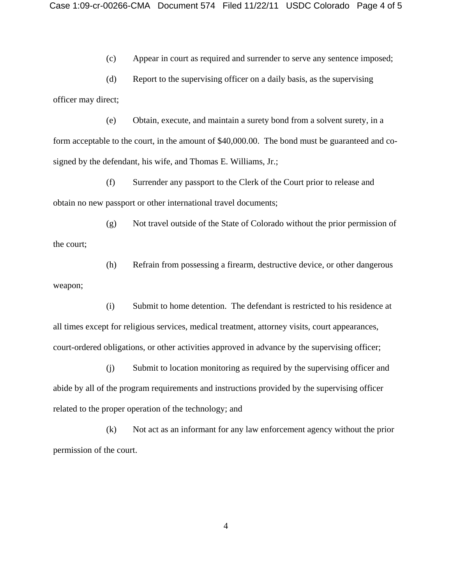(c) Appear in court as required and surrender to serve any sentence imposed;

(d) Report to the supervising officer on a daily basis, as the supervising officer may direct;

(e) Obtain, execute, and maintain a surety bond from a solvent surety, in a form acceptable to the court, in the amount of \$40,000.00. The bond must be guaranteed and cosigned by the defendant, his wife, and Thomas E. Williams, Jr.;

(f) Surrender any passport to the Clerk of the Court prior to release and obtain no new passport or other international travel documents;

(g) Not travel outside of the State of Colorado without the prior permission of the court;

(h) Refrain from possessing a firearm, destructive device, or other dangerous weapon;

(i) Submit to home detention. The defendant is restricted to his residence at all times except for religious services, medical treatment, attorney visits, court appearances, court-ordered obligations, or other activities approved in advance by the supervising officer;

(j) Submit to location monitoring as required by the supervising officer and abide by all of the program requirements and instructions provided by the supervising officer related to the proper operation of the technology; and

(k) Not act as an informant for any law enforcement agency without the prior permission of the court.

4